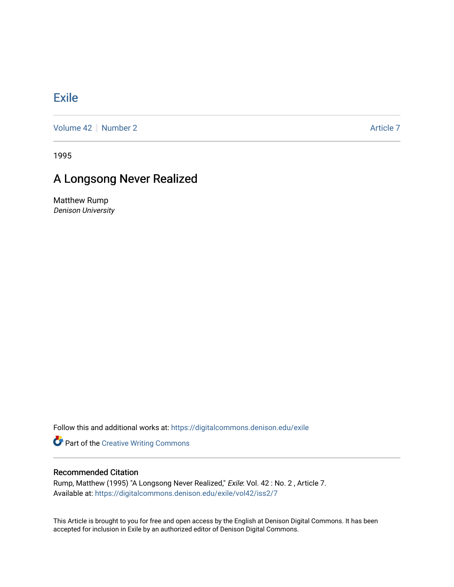## **[Exile](https://digitalcommons.denison.edu/exile)**

[Volume 42](https://digitalcommons.denison.edu/exile/vol42) [Number 2](https://digitalcommons.denison.edu/exile/vol42/iss2) Article 7

1995

## A Longsong Never Realized

Matthew Rump Denison University

Follow this and additional works at: [https://digitalcommons.denison.edu/exile](https://digitalcommons.denison.edu/exile?utm_source=digitalcommons.denison.edu%2Fexile%2Fvol42%2Fiss2%2F7&utm_medium=PDF&utm_campaign=PDFCoverPages) 

**Part of the Creative Writing Commons** 

## Recommended Citation

Rump, Matthew (1995) "A Longsong Never Realized," Exile: Vol. 42 : No. 2 , Article 7. Available at: [https://digitalcommons.denison.edu/exile/vol42/iss2/7](https://digitalcommons.denison.edu/exile/vol42/iss2/7?utm_source=digitalcommons.denison.edu%2Fexile%2Fvol42%2Fiss2%2F7&utm_medium=PDF&utm_campaign=PDFCoverPages) 

This Article is brought to you for free and open access by the English at Denison Digital Commons. It has been accepted for inclusion in Exile by an authorized editor of Denison Digital Commons.